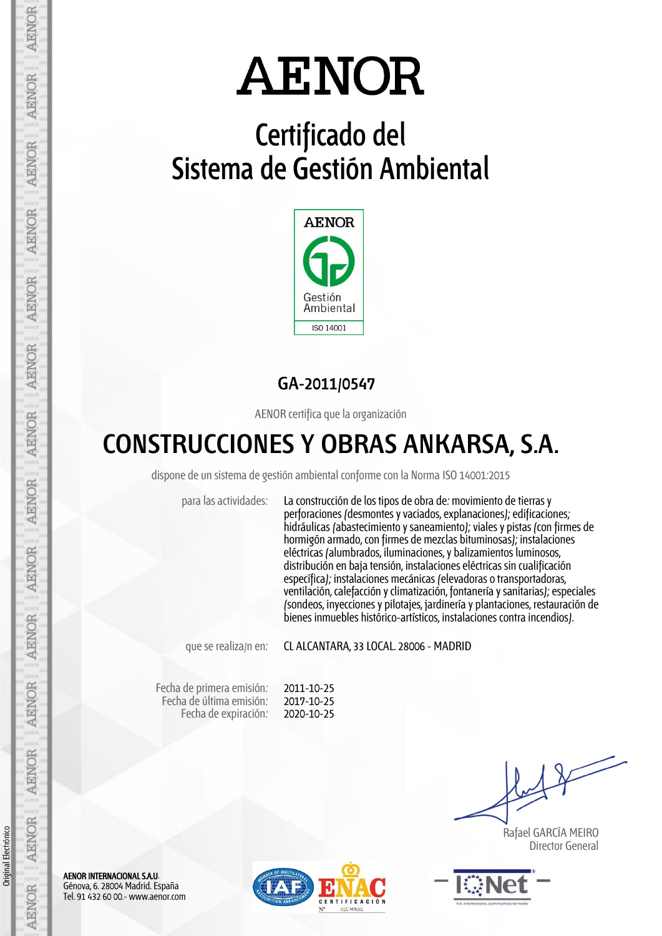## **Certificado del Sistema de Gestión Ambiental**



## **GA-2011/0547**

AENOR certifica que la organización

## **CONSTRUCCIONES Y OBRAS ANKARSA, S.A.**

dispone de un sistema de gestión ambiental conforme con la Norma ISO 14001:2015

para las actividades: La construcción de los tipos de obra de: movimiento de tierras y perforaciones (desmontes y vaciados, explanaciones); edificaciones; hidráulicas (abastecimiento y saneamiento); viales y pistas (con firmes de hormigón armado, con firmes de mezclas bituminosas); instalaciones eléctricas (alumbrados, iluminaciones, y balizamientos luminosos, distribución en baja tensión, instalaciones eléctricas sin cualificación específica); instalaciones mecánicas (elevadoras o transportadoras, ventilación, calefacción y climatización, fontanería y sanitarias); especiales (sondeos, inyecciones y pilotajes, jardinería y plantaciones, restauración de bienes inmuebles histórico-artísticos, instalaciones contra incendios).

que se realiza/n en: CL ALCANTARA, 33 LOCAL, 28006 - MADRID

Fecha de primera emisión: Fecha de última emisión: Fecha de expiración:

2011-10-25 2017-10-25 2020-10-25

 Rafael GARCÍA MEIRO Director General



AENOR INTERNACIONAL S.A.U. Génova, 6. 28004 Madrid. España Tel. 91 432 60 00.- www.aenor.com

Original Electrónico

Original Electrónico